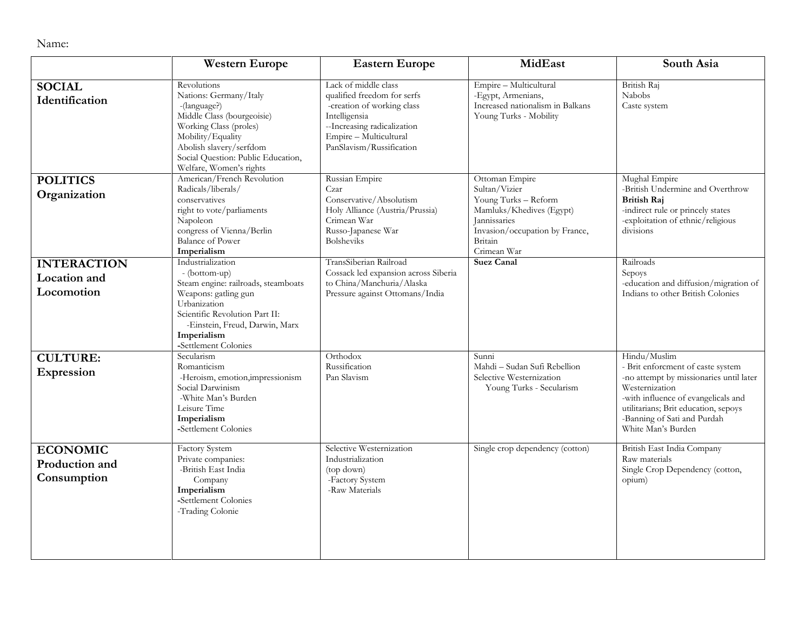Name:

|                                                         | <b>Western Europe</b>                                                                                                                                                                                                          | <b>Eastern Europe</b>                                                                                                                                                                   | MidEast                                                                                                                                                         | South Asia                                                                                                                                                                                                                                         |
|---------------------------------------------------------|--------------------------------------------------------------------------------------------------------------------------------------------------------------------------------------------------------------------------------|-----------------------------------------------------------------------------------------------------------------------------------------------------------------------------------------|-----------------------------------------------------------------------------------------------------------------------------------------------------------------|----------------------------------------------------------------------------------------------------------------------------------------------------------------------------------------------------------------------------------------------------|
| <b>SOCIAL</b><br>Identification                         | Revolutions<br>Nations: Germany/Italy<br>-(language?)<br>Middle Class (bourgeoisie)<br>Working Class (proles)<br>Mobility/Equality<br>Abolish slavery/serfdom<br>Social Question: Public Education,<br>Welfare, Women's rights | Lack of middle class<br>qualified freedom for serfs<br>-creation of working class<br>Intelligensia<br>--Increasing radicalization<br>Empire - Multicultural<br>PanSlavism/Russification | Empire - Multicultural<br>-Egypt, Armenians,<br>Increased nationalism in Balkans<br>Young Turks - Mobility                                                      | British Raj<br>Nabobs<br>Caste system                                                                                                                                                                                                              |
| <b>POLITICS</b><br>Organization                         | American/French Revolution<br>Radicals/liberals/<br>conservatives<br>right to vote/parliaments<br>Napoleon<br>congress of Vienna/Berlin<br><b>Balance of Power</b><br>Imperialism                                              | Russian Empire<br>Czar<br>Conservative/Absolutism<br>Holy Alliance (Austria/Prussia)<br>Crimean War<br>Russo-Japanese War<br><b>Bolsheviks</b>                                          | Ottoman Empire<br>Sultan/Vizier<br>Young Turks - Reform<br>Mamluks/Khedives (Egypt)<br>Jannissaries<br>Invasion/occupation by France,<br>Britain<br>Crimean War | Mughal Empire<br>-British Undermine and Overthrow<br><b>British Raj</b><br>-indirect rule or princely states<br>-exploitation of ethnic/religious<br>divisions                                                                                     |
| <b>INTERACTION</b><br><b>Location</b> and<br>Locomotion | Industrialization<br>- (bottom-up)<br>Steam engine: railroads, steamboats<br>Weapons: gatling gun<br>Urbanization<br>Scientific Revolution Part II:<br>-Einstein, Freud, Darwin, Marx<br>Imperialism<br>-Settlement Colonies   | TransSiberian Railroad<br>Cossack led expansion across Siberia<br>to China/Manchuria/Alaska<br>Pressure against Ottomans/India                                                          | <b>Suez Canal</b>                                                                                                                                               | Railroads<br>Sepoys<br>-education and diffusion/migration of<br>Indians to other British Colonies                                                                                                                                                  |
| <b>CULTURE:</b><br><b>Expression</b>                    | Secularism<br>Romanticism<br>-Heroism, emotion, impressionism<br>Social Darwinism<br>-White Man's Burden<br>Leisure Time<br>Imperialism<br>-Settlement Colonies                                                                | Orthodox<br>Russification<br>Pan Slavism                                                                                                                                                | Sunni<br>Mahdi - Sudan Sufi Rebellion<br>Selective Westernization<br>Young Turks - Secularism                                                                   | Hindu/Muslim<br>- Brit enforcment of caste system<br>-no attempt by missionaries until later<br>Westernization<br>-with influence of evangelicals and<br>utilitarians; Brit education, sepoys<br>-Banning of Sati and Purdah<br>White Man's Burden |
| <b>ECONOMIC</b><br>Production and<br>Consumption        | <b>Factory System</b><br>Private companies:<br>-British East India<br>Company<br>Imperialism<br>-Settlement Colonies<br>-Trading Colonie                                                                                       | Selective Westernization<br>Industrialization<br>(top down)<br>-Factory System<br>-Raw Materials                                                                                        | Single crop dependency (cotton)                                                                                                                                 | British East India Company<br>Raw materials<br>Single Crop Dependency (cotton,<br>opium)                                                                                                                                                           |